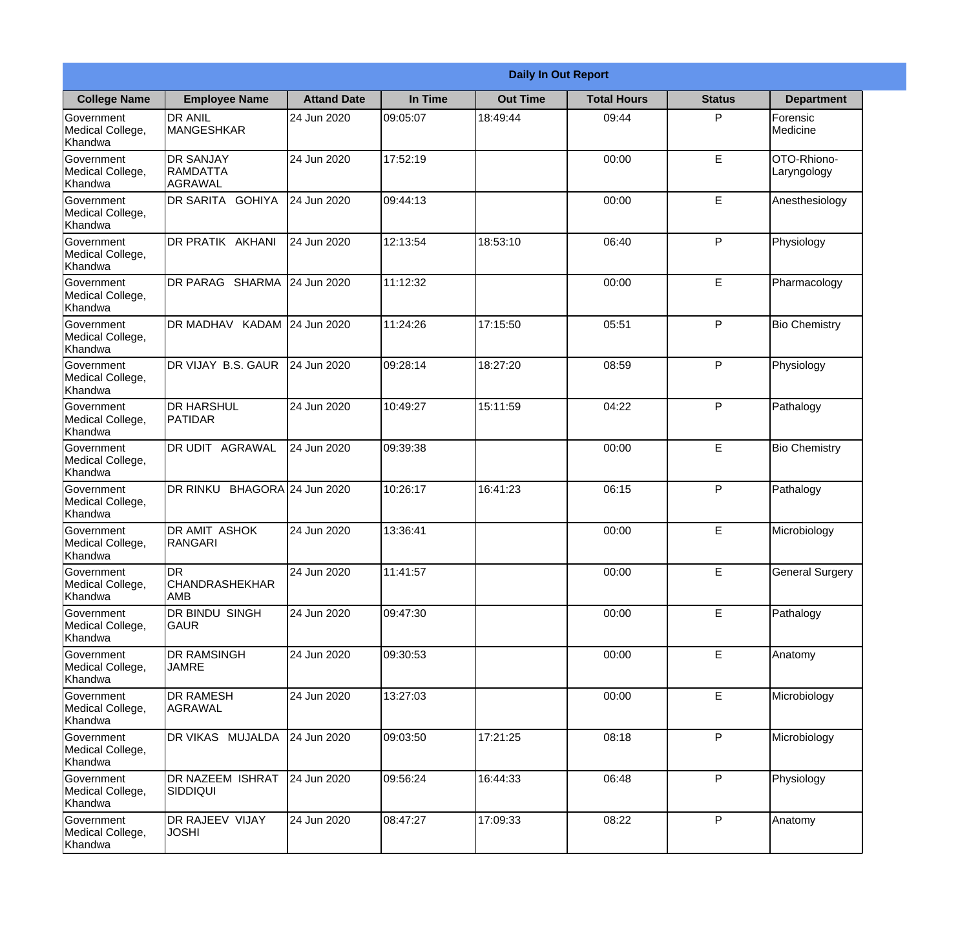|                                                  |                                                |                     |          | <b>Daily In Out Report</b> |                    |               |                            |
|--------------------------------------------------|------------------------------------------------|---------------------|----------|----------------------------|--------------------|---------------|----------------------------|
| <b>College Name</b>                              | <b>Employee Name</b>                           | <b>Attand Date</b>  | In Time  | <b>Out Time</b>            | <b>Total Hours</b> | <b>Status</b> | <b>Department</b>          |
| Government<br>Medical College,<br>Khandwa        | <b>DR ANIL</b><br><b>MANGESHKAR</b>            | 24 Jun 2020         | 09:05:07 | 18:49:44                   | 09:44              | P             | Forensic<br>Medicine       |
| Government<br>Medical College,<br>Khandwa        | <b>DR SANJAY</b><br><b>RAMDATTA</b><br>AGRAWAL | 24 Jun 2020         | 17:52:19 |                            | 00:00              | $\mathsf E$   | OTO-Rhiono-<br>Laryngology |
| <b>Government</b><br>Medical College,<br>Khandwa | <b>DR SARITA GOHIYA</b>                        | 24 Jun 2020         | 09:44:13 |                            | 00:00              | E             | Anesthesiology             |
| <b>Government</b><br>Medical College,<br>Khandwa | <b>DR PRATIK AKHANI</b>                        | 24 Jun 2020         | 12:13:54 | 18:53:10                   | 06:40              | P             | Physiology                 |
| Government<br>Medical College,<br>Khandwa        | <b>DR PARAG SHARMA</b>                         | 24 Jun 2020         | 11:12:32 |                            | 00:00              | E             | Pharmacology               |
| Government<br>Medical College,<br>Khandwa        | DR MADHAV KADAM 24 Jun 2020                    |                     | 11:24:26 | 17:15:50                   | 05:51              | P             | <b>Bio Chemistry</b>       |
| <b>Government</b><br>Medical College,<br>Khandwa | DR VIJAY B.S. GAUR                             | 24 Jun 2020         | 09:28:14 | 18:27:20                   | 08:59              | P             | Physiology                 |
| <b>Government</b><br>Medical College,<br>Khandwa | <b>DR HARSHUL</b><br>PATIDAR                   | 24 Jun 2020         | 10:49:27 | 15:11:59                   | 04:22              | P             | Pathalogy                  |
| Government<br>Medical College,<br>Khandwa        | <b>DR UDIT AGRAWAL</b>                         | 24 Jun 2020         | 09:39:38 |                            | 00:00              | E             | <b>Bio Chemistry</b>       |
| Government<br>Medical College,<br>Khandwa        | DR RINKU                                       | BHAGORA 24 Jun 2020 | 10:26:17 | 16:41:23                   | 06:15              | P             | Pathalogy                  |
| Government<br>Medical College,<br>Khandwa        | <b>DR AMIT ASHOK</b><br>RANGARI                | 24 Jun 2020         | 13:36:41 |                            | 00:00              | E             | Microbiology               |
| Government<br>Medical College,<br>Khandwa        | ldr<br><b>CHANDRASHEKHAR</b><br><b>AMB</b>     | 24 Jun 2020         | 11:41:57 |                            | 00:00              | E             | <b>General Surgery</b>     |
| Government<br>Medical College,<br>Khandwa        | DR BINDU SINGH<br><b>GAUR</b>                  | 24 Jun 2020         | 09:47:30 |                            | 00:00              | E             | Pathalogy                  |
| Government<br>Medical College,<br>Khandwa        | <b>DR RAMSINGH</b><br><b>JAMRE</b>             | 24 Jun 2020         | 09:30:53 |                            | 00:00              | $\mathsf E$   | Anatomy                    |
| Government<br>Medical College,<br>Khandwa        | <b>DR RAMESH</b><br>AGRAWAL                    | 24 Jun 2020         | 13:27:03 |                            | 00:00              | E             | Microbiology               |
| Government<br>Medical College,<br>Khandwa        | <b>DR VIKAS MUJALDA</b>                        | 24 Jun 2020         | 09:03:50 | 17:21:25                   | 08:18              | P             | Microbiology               |
| Government<br>Medical College,<br>Khandwa        | <b>DR NAZEEM ISHRAT</b><br><b>SIDDIQUI</b>     | 24 Jun 2020         | 09:56:24 | 16:44:33                   | 06:48              | P             | Physiology                 |
| Government<br>Medical College,<br>Khandwa        | <b>DR RAJEEV VIJAY</b><br><b>JOSHI</b>         | 24 Jun 2020         | 08:47:27 | 17:09:33                   | 08:22              | P             | Anatomy                    |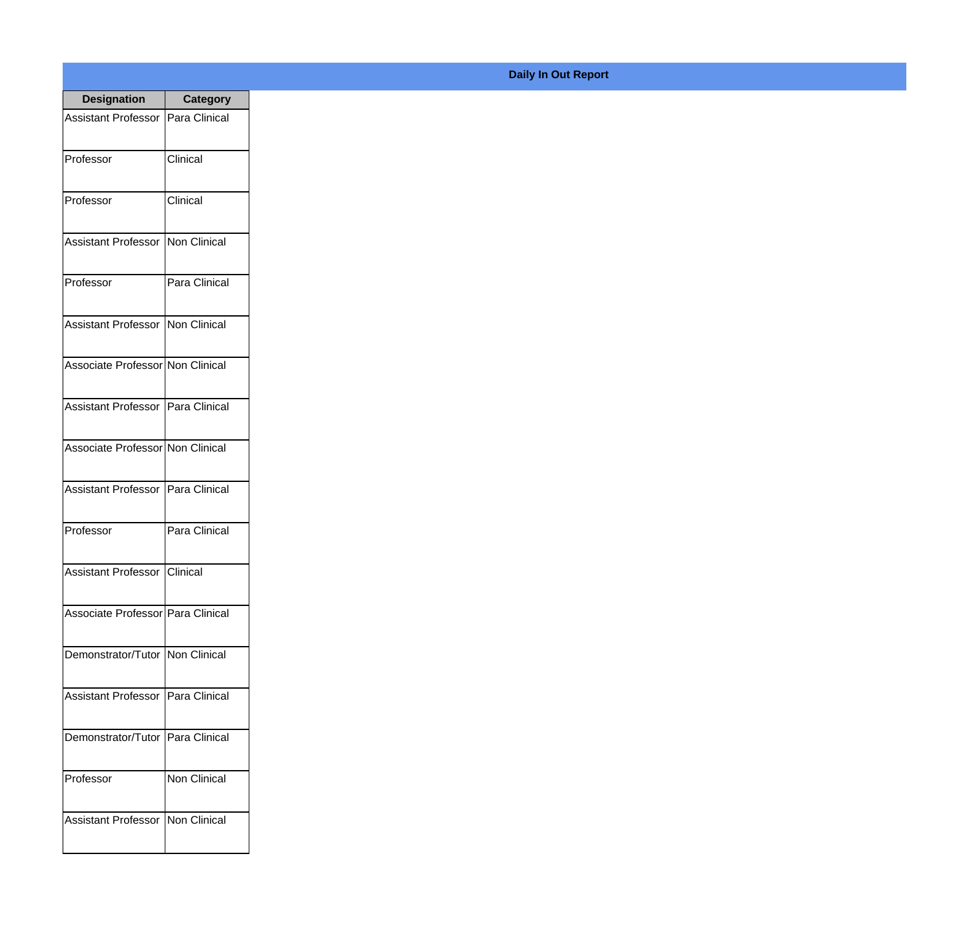| <b>Designation</b>                  | <b>Category</b>        |
|-------------------------------------|------------------------|
| Assistant Professor   Para Clinical |                        |
| Professor                           | Clinical               |
| Professor                           | Clinical               |
| <b>Assistant Professor</b>          | Non Clinical           |
| Professor                           | Para Clinical          |
| Assistant Professor   Non Clinical  |                        |
| Associate Professor Non Clinical    |                        |
| Assistant Professor   Para Clinical |                        |
| Associate Professor Non Clinical    |                        |
| <b>Assistant Professor</b>          | Para Clinical          |
| Professor                           | Para Clinical          |
| Assistant Professor Clinical        |                        |
| Associate Professor   Para Clinical |                        |
| Demonstrator/Tutor   Non Clinical   |                        |
| <b>Assistant Professor</b>          | <b>I</b> Para Clinical |
| Demonstrator/Tutor                  | <b>Para Clinical</b>   |
| Professor                           | <b>Non Clinical</b>    |
| Assistant Professor   Non Clinical  |                        |

## **Daily In Out Report**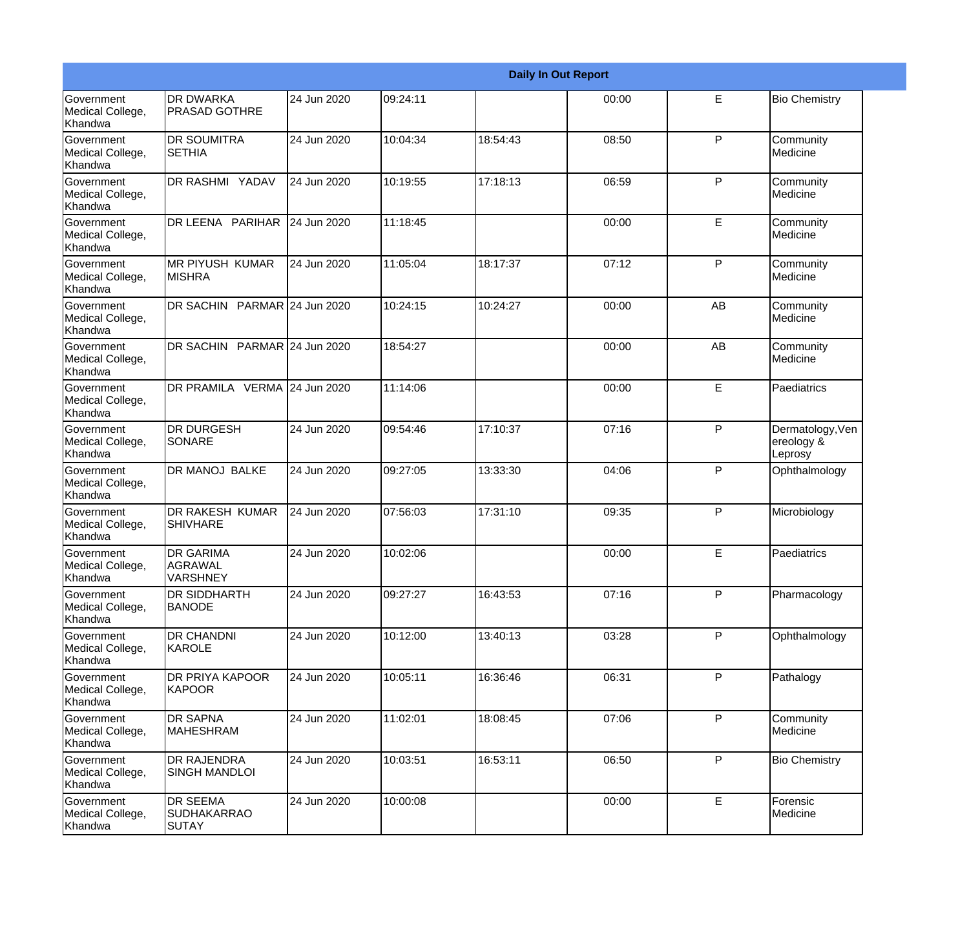|                                                         |                                                |             |          |          | <b>Daily In Out Report</b> |              |                                           |
|---------------------------------------------------------|------------------------------------------------|-------------|----------|----------|----------------------------|--------------|-------------------------------------------|
| <b>Government</b><br>Medical College,<br>Khandwa        | <b>DR DWARKA</b><br><b>PRASAD GOTHRE</b>       | 24 Jun 2020 | 09:24:11 |          | 00:00                      | E            | <b>Bio Chemistry</b>                      |
| <b>Government</b><br>Medical College,<br>Khandwa        | <b>DR SOUMITRA</b><br><b>SETHIA</b>            | 24 Jun 2020 | 10:04:34 | 18:54:43 | 08:50                      | $\mathsf{P}$ | Community<br>Medicine                     |
| <b>Government</b><br>Medical College,<br><b>Khandwa</b> | DR RASHMI YADAV                                | 24 Jun 2020 | 10:19:55 | 17:18:13 | 06:59                      | P            | Community<br>Medicine                     |
| <b>Government</b><br>Medical College,<br>Khandwa        | DR LEENA PARIHAR                               | 24 Jun 2020 | 11:18:45 |          | 00:00                      | E            | Community<br>Medicine                     |
| Government<br>Medical College,<br>Khandwa               | MR PIYUSH KUMAR<br><b>MISHRA</b>               | 24 Jun 2020 | 11:05:04 | 18:17:37 | 07:12                      | P            | Community<br>Medicine                     |
| <b>Government</b><br>Medical College,<br><b>Khandwa</b> | DR SACHIN PARMAR 24 Jun 2020                   |             | 10:24:15 | 10:24:27 | 00:00                      | AB           | Community<br>Medicine                     |
| Government<br>Medical College,<br>Khandwa               | DR SACHIN PARMAR 24 Jun 2020                   |             | 18:54:27 |          | 00:00                      | AB           | Community<br>Medicine                     |
| Government<br>Medical College,<br>Khandwa               | DR PRAMILA VERMA 24 Jun 2020                   |             | 11:14:06 |          | 00:00                      | E            | Paediatrics                               |
| <b>Government</b><br>Medical College,<br>Khandwa        | <b>DR DURGESH</b><br>SONARE                    | 24 Jun 2020 | 09:54:46 | 17:10:37 | 07:16                      | ${\sf P}$    | Dermatology, Ven<br>ereology &<br>Leprosy |
| <b>Government</b><br>Medical College,<br>Khandwa        | <b>DR MANOJ BALKE</b>                          | 24 Jun 2020 | 09:27:05 | 13:33:30 | 04:06                      | P            | Ophthalmology                             |
| <b>Government</b><br>Medical College,<br>Khandwa        | <b>DR RAKESH KUMAR</b><br><b>SHIVHARE</b>      | 24 Jun 2020 | 07:56:03 | 17:31:10 | 09:35                      | P            | Microbiology                              |
| Government<br>Medical College,<br>Khandwa               | <b>DR GARIMA</b><br>AGRAWAL<br><b>VARSHNEY</b> | 24 Jun 2020 | 10:02:06 |          | 00:00                      | E            | Paediatrics                               |
| <b>Government</b><br>Medical College,<br>Khandwa        | DR SIDDHARTH<br><b>BANODE</b>                  | 24 Jun 2020 | 09:27:27 | 16:43:53 | 07:16                      | P            | Pharmacology                              |
| Government<br>Medical College,<br>Khandwa               | DR CHANDNI<br>KAROLE                           | 24 Jun 2020 | 10:12:00 | 13:40:13 | 03:28                      | P            | Ophthalmology                             |
| Government<br>Medical College,<br>Khandwa               | DR PRIYA KAPOOR<br><b>KAPOOR</b>               | 24 Jun 2020 | 10:05:11 | 16:36:46 | 06:31                      | P            | Pathalogy                                 |
| Government<br>Medical College,<br>Khandwa               | <b>DR SAPNA</b><br><b>MAHESHRAM</b>            | 24 Jun 2020 | 11:02:01 | 18:08:45 | 07:06                      | $\mathsf{P}$ | Community<br>Medicine                     |
| Government<br>Medical College,<br>Khandwa               | DR RAJENDRA<br>SINGH MANDLOI                   | 24 Jun 2020 | 10:03:51 | 16:53:11 | 06:50                      | P            | <b>Bio Chemistry</b>                      |
| Government<br>Medical College,<br>Khandwa               | DR SEEMA<br><b>SUDHAKARRAO</b><br>SUTAY        | 24 Jun 2020 | 10:00:08 |          | 00:00                      | E            | Forensic<br>Medicine                      |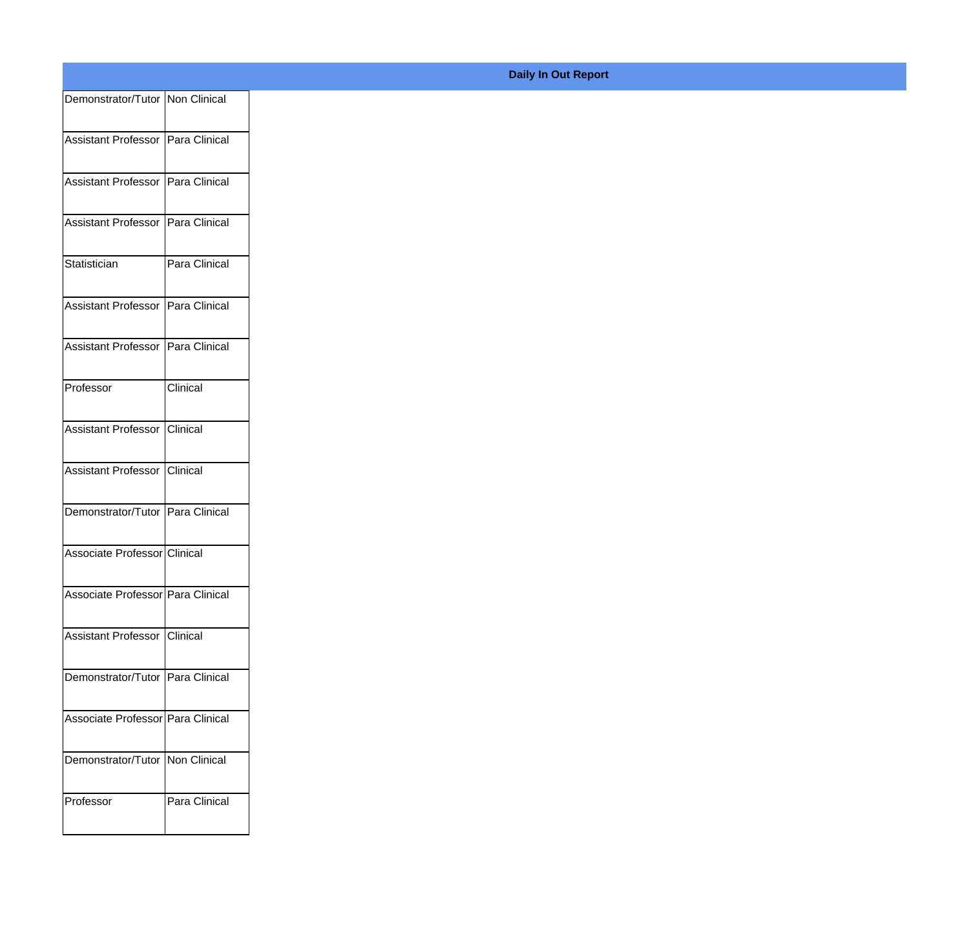| Demonstrator/Tutor   Non Clinical   |               |
|-------------------------------------|---------------|
|                                     |               |
| Assistant Professor   Para Clinical |               |
| Assistant Professor Para Clinical   |               |
|                                     |               |
| Assistant Professor   Para Clinical |               |
| Statistician                        | Para Clinical |
| Assistant Professor   Para Clinical |               |
|                                     |               |
| Assistant Professor Para Clinical   |               |
| Professor                           | Clinical      |
|                                     |               |
| Assistant Professor Clinical        |               |
| Assistant Professor Clinical        |               |
|                                     |               |
| Demonstrator/Tutor Para Clinical    |               |
| Associate Professor Clinical        |               |
|                                     |               |
| Associate Professor Para Clinical   |               |
| Assistant Professor Clinical        |               |
|                                     |               |
| Demonstrator/Tutor Para Clinical    |               |
| Associate Professor   Para Clinical |               |
| Demonstrator/Tutor   Non Clinical   |               |
|                                     |               |
| Professor                           | Para Clinical |
|                                     |               |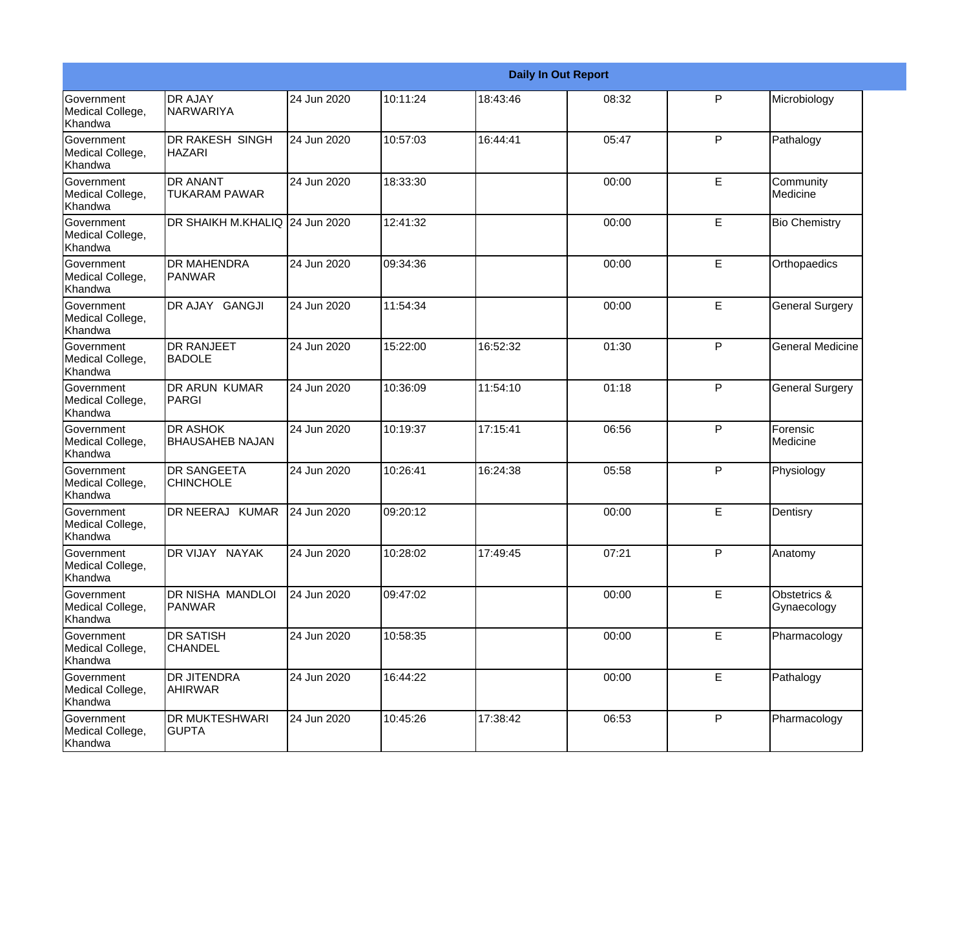|                                                  |                                           |             |          |          | <b>Daily In Out Report</b> |   |                             |
|--------------------------------------------------|-------------------------------------------|-------------|----------|----------|----------------------------|---|-----------------------------|
| Government<br>Medical College,<br>Khandwa        | <b>DR AJAY</b><br><b>NARWARIYA</b>        | 24 Jun 2020 | 10:11:24 | 18:43:46 | 08:32                      | P | Microbiology                |
| <b>Government</b><br>Medical College,<br>Khandwa | <b>DR RAKESH SINGH</b><br><b>HAZARI</b>   | 24 Jun 2020 | 10:57:03 | 16:44:41 | 05:47                      | P | Pathalogy                   |
| <b>Government</b><br>Medical College,<br>Khandwa | <b>DR ANANT</b><br><b>TUKARAM PAWAR</b>   | 24 Jun 2020 | 18:33:30 |          | 00:00                      | E | Community<br>Medicine       |
| Government<br>Medical College,<br>Khandwa        | DR SHAIKH M.KHALIQ                        | 24 Jun 2020 | 12:41:32 |          | 00:00                      | E | <b>Bio Chemistry</b>        |
| <b>Government</b><br>Medical College,<br>Khandwa | <b>DR MAHENDRA</b><br><b>PANWAR</b>       | 24 Jun 2020 | 09:34:36 |          | 00:00                      | E | Orthopaedics                |
| Government<br>Medical College,<br>Khandwa        | DR AJAY GANGJI                            | 24 Jun 2020 | 11:54:34 |          | 00:00                      | E | <b>General Surgery</b>      |
| <b>Government</b><br>Medical College,<br>Khandwa | <b>DR RANJEET</b><br><b>BADOLE</b>        | 24 Jun 2020 | 15:22:00 | 16:52:32 | 01:30                      | P | <b>General Medicine</b>     |
| Government<br>Medical College,<br>Khandwa        | <b>DR ARUN KUMAR</b><br>PARGI             | 24 Jun 2020 | 10:36:09 | 11:54:10 | 01:18                      | P | <b>General Surgery</b>      |
| <b>Government</b><br>Medical College,<br>Khandwa | <b>DR ASHOK</b><br><b>BHAUSAHEB NAJAN</b> | 24 Jun 2020 | 10:19:37 | 17:15:41 | 06:56                      | P | Forensic<br>Medicine        |
| <b>Government</b><br>Medical College,<br>Khandwa | <b>DR SANGEETA</b><br><b>CHINCHOLE</b>    | 24 Jun 2020 | 10:26:41 | 16:24:38 | 05:58                      | P | Physiology                  |
| <b>Government</b><br>Medical College,<br>Khandwa | DR NEERAJ KUMAR                           | 24 Jun 2020 | 09:20:12 |          | 00:00                      | E | Dentisry                    |
| Government<br>Medical College,<br>Khandwa        | DR VIJAY NAYAK                            | 24 Jun 2020 | 10:28:02 | 17:49:45 | 07:21                      | P | Anatomy                     |
| Government<br>Medical College,<br>Khandwa        | DR NISHA MANDLOI<br><b>PANWAR</b>         | 24 Jun 2020 | 09:47:02 |          | 00:00                      | E | Obstetrics &<br>Gynaecology |
| Government<br>Medical College,<br>Khandwa        | <b>DR SATISH</b><br><b>CHANDEL</b>        | 24 Jun 2020 | 10:58:35 |          | 00:00                      | E | Pharmacology                |
| Government<br>Medical College,<br>Khandwa        | <b>DR JITENDRA</b><br><b>AHIRWAR</b>      | 24 Jun 2020 | 16:44:22 |          | 00:00                      | E | Pathalogy                   |
| Government<br>Medical College,<br>Khandwa        | <b>DR MUKTESHWARI</b><br><b>GUPTA</b>     | 24 Jun 2020 | 10:45:26 | 17:38:42 | 06:53                      | P | Pharmacology                |